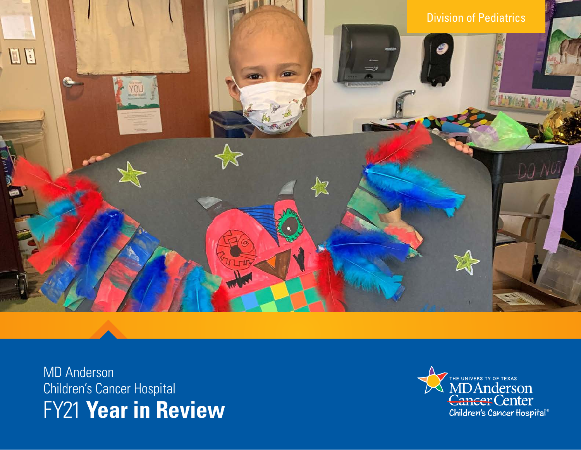

MD Anderson Children's Cancer Hospital FY21 **Year in Review**

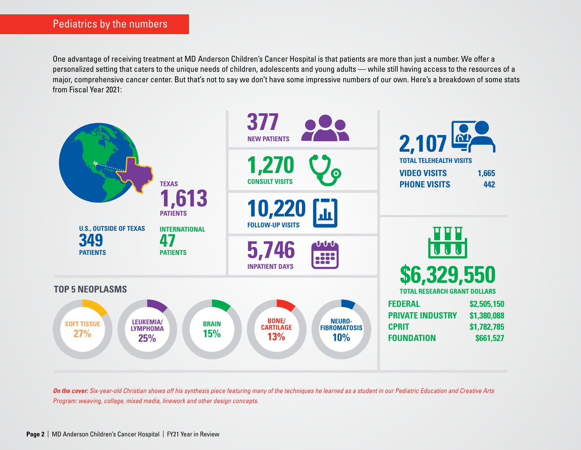One advantage of receiving treatment at MD Anderson Children's Cancer Hospital is that patients are more than just a number. We offer a personalized setting that caters to the unique needs of children, adolescents and young adults — while still having access to the resources of a major, comprehensive cancer center. But that's not to say we don't have some impressive numbers of our own. Here's a breakdown of some stats from Fiscal Year 2021:



*On the cover: Six-year-old Christian shows off his synthesis piece featuring many of the techniques he learned as a student in our Pediatric Education and Creative Arts Program: weaving, collage, mixed media, linework and other design concepts.*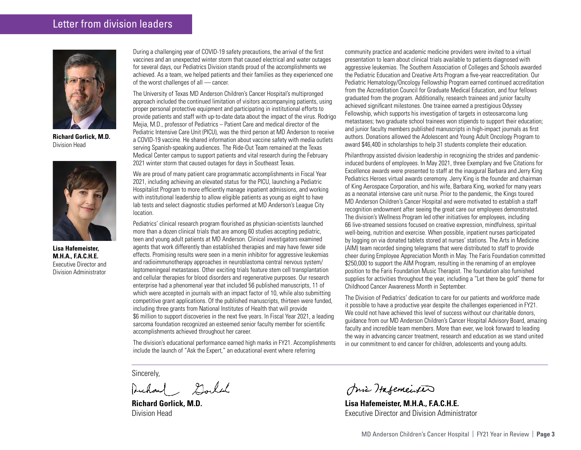### Letter from division leaders



**Richard Gorlick, M.D.** Division Head



**Lisa Hafemeister, M.H.A., F.A.C.H.E.** Executive Director and Division Administrator

During a challenging year of COVID-19 safety precautions, the arrival of the first vaccines and an unexpected winter storm that caused electrical and water outages for several days, our Pediatrics Division stands proud of the accomplishments we achieved. As a team, we helped patients and their families as they experienced one of the worst challenges of all — cancer.

The University of Texas MD Anderson Children's Cancer Hospital's multipronged approach included the continued limitation of visitors accompanying patients, using proper personal protective equipment and participating in institutional efforts to provide patients and staff with up-to-date data about the impact of the virus. Rodrigo Mejia, M.D., professor of Pediatrics – Patient Care and medical director of the Pediatric Intensive Care Unit (PICU), was the third person at MD Anderson to receive a COVID-19 vaccine. He shared information about vaccine safety with media outlets serving Spanish-speaking audiences. The Ride-Out Team remained at the Texas Medical Center campus to support patients and vital research during the February 2021 winter storm that caused outages for days in Southeast Texas.

We are proud of many patient care programmatic accomplishments in Fiscal Year 2021, including achieving an elevated status for the PICU, launching a Pediatric Hospitalist Program to more efficiently manage inpatient admissions, and working with institutional leadership to allow eligible patients as young as eight to have lab tests and select diagnostic studies performed at MD Anderson's League City location.

Pediatrics' clinical research program flourished as physician-scientists launched more than a dozen clinical trials that are among 60 studies accepting pediatric, teen and young adult patients at MD Anderson. Clinical investigators examined agents that work differently than established therapies and may have fewer side effects. Promising results were seen in a menin inhibitor for aggressive leukemias and radioimmunotherapy approaches in neuroblastoma central nervous system/ leptomeningeal metastases. Other exciting trials feature stem cell transplantation and cellular therapies for blood disorders and regenerative purposes. Our research enterprise had a phenomenal year that included 56 published manuscripts, 11 of which were accepted in journals with an impact factor of 10, while also submitting competitive grant applications. Of the published manuscripts, thirteen were funded, including three grants from National Institutes of Health that will provide \$6 million to support discoveries in the next five years. In Fiscal Year 2021, a leading sarcoma foundation recognized an esteemed senior faculty member for scientific accomplishments achieved throughout her career.

The division's educational performance earned high marks in FY21. Accomplishments include the launch of "Ask the Expert," an educational event where referring

Sincerely,

Auchand Sould

**Richard Gorlick, M.D.** Division Head

community practice and academic medicine providers were invited to a virtual presentation to learn about clinical trials available to patients diagnosed with aggressive leukemias. The Southern Association of Colleges and Schools awarded the Pediatric Education and Creative Arts Program a five-year reaccreditation. Our Pediatric Hematology/Oncology Fellowship Program earned continued accreditation from the Accreditation Council for Graduate Medical Education, and four fellows graduated from the program. Additionally, research trainees and junior faculty achieved significant milestones. One trainee earned a prestigious Odyssey Fellowship, which supports his investigation of targets in osteosarcoma lung metastases; two graduate school trainees won stipends to support their education; and junior faculty members published manuscripts in high-impact journals as first authors. Donations allowed the Adolescent and Young Adult Oncology Program to award \$46,400 in scholarships to help 31 students complete their education.

Philanthropy assisted division leadership in recognizing the strides and pandemicinduced burdens of employees. In May 2021, three Exemplary and five Citations for Excellence awards were presented to staff at the inaugural Barbara and Jerry King Pediatrics Heroes virtual awards ceremony. Jerry King is the founder and chairman of King Aerospace Corporation, and his wife, Barbara King, worked for many years as a neonatal intensive care unit nurse. Prior to the pandemic, the Kings toured MD Anderson Children's Cancer Hospital and were motivated to establish a staff recognition endowment after seeing the great care our employees demonstrated. The division's Wellness Program led other initiatives for employees, including 66 live-streamed sessions focused on creative expression, mindfulness, spiritual well-being, nutrition and exercise. When possible, inpatient nurses participated by logging on via donated tablets stored at nurses' stations. The Arts in Medicine (AIM) team recorded singing telegrams that were distributed to staff to provide cheer during Employee Appreciation Month in May. The Faris Foundation committed \$250,000 to support the AIM Program, resulting in the renaming of an employee position to the Faris Foundation Music Therapist. The foundation also furnished supplies for activities throughout the year, including a "Let there be gold" theme for Childhood Cancer Awareness Month in September.

The Division of Pediatrics' dedication to care for our patients and workforce made it possible to have a productive year despite the challenges experienced in FY21. We could not have achieved this level of success without our charitable donors, guidance from our MD Anderson Children's Cancer Hospital Advisory Board, amazing faculty and incredible team members. More than ever, we look forward to leading the way in advancing cancer treatment, research and education as we stand united in our commitment to end cancer for children, adolescents and young adults.

mi Hafemeister

**Lisa Hafemeister, M.H.A., F.A.C.H.E.** Executive Director and Division Administrator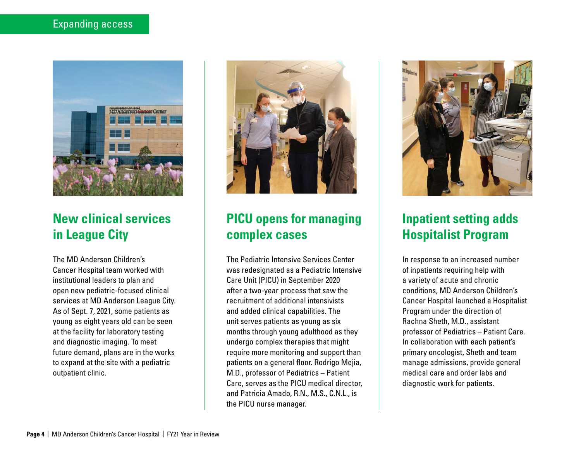

## **New clinical services in League City**

The MD Anderson Children's Cancer Hospital team worked with institutional leaders to plan and open new pediatric-focused clinical services at MD Anderson League City. As of Sept. 7, 2021, some patients as young as eight years old can be seen at the facility for laboratory testing and diagnostic imaging. To meet future demand, plans are in the works to expand at the site with a pediatric outpatient clinic.



# **PICU opens for managing complex cases**

The Pediatric Intensive Services Center was redesignated as a Pediatric Intensive Care Unit (PICU) in September 2020 after a two-year process that saw the recruitment of additional intensivists and added clinical capabilities. The unit serves patients as young as six months through young adulthood as they undergo complex therapies that might require more monitoring and support than patients on a general floor. Rodrigo Mejia, M.D., professor of Pediatrics – Patient Care, serves as the PICU medical director, and Patricia Amado, R.N., M.S., C.N.L., is the PICU nurse manager.



# **Inpatient setting adds Hospitalist Program**

In response to an increased number of inpatients requiring help with a variety of acute and chronic conditions, MD Anderson Children's Cancer Hospital launched a Hospitalist Program under the direction of Rachna Sheth, M.D., assistant professor of Pediatrics – Patient Care. In collaboration with each patient's primary oncologist, Sheth and team manage admissions, provide general medical care and order labs and diagnostic work for patients.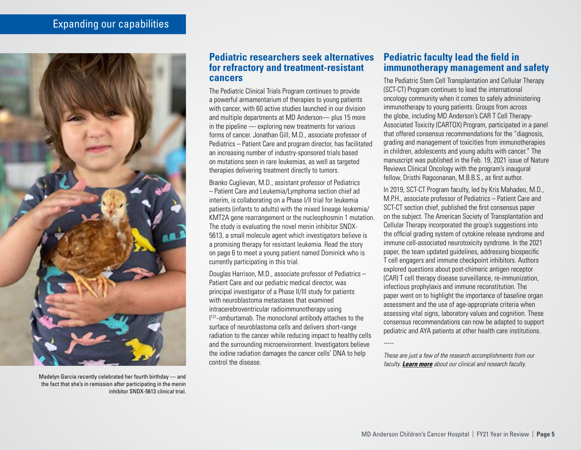

Madelyn Garcia recently celebrated her fourth birthday — and the fact that she's in remission after participating in the menin inhibitor SNDX-5613 clinical trial.

#### **Pediatric researchers seek alternatives for refractory and treatment-resistant cancers**

The Pediatric Clinical Trials Program continues to provide a powerful armamentarium of therapies to young patients with cancer, with 60 active studies launched in our division and multiple departments at MD Anderson— plus 15 more in the pipeline — exploring new treatments for various forms of cancer. Jonathan Gill, M.D., associate professor of Pediatrics – Patient Care and program director, has facilitated an increasing number of industry-sponsored trials based on mutations seen in rare leukemias, as well as targeted therapies delivering treatment directly to tumors.

Branko Cuglievan, M.D., assistant professor of Pediatrics – Patient Care and Leukemia/Lymphoma section chief ad interim, is collaborating on a Phase I/II trial for leukemia patients (infants to adults) with the mixed lineage leukemia/ KMT2A gene rearrangement or the nucleophosmin 1 mutation. The study is evaluating the novel menin inhibitor SNDX-5613, a small molecule agent which investigators believe is a promising therapy for resistant leukemia. Read the story on page 6 to meet a young patient named Dominick who is currently participating in this trial.

Douglas Harrison, M.D., associate professor of Pediatrics – Patient Care and our pediatric medical director, was principal investigator of a Phase II/III study for patients with neuroblastoma metastases that examined intracerebroventricular radioimmunotherapy using  $1<sup>131</sup>$ -omburtamab. The monoclonal antibody attaches to the surface of neuroblastoma cells and delivers short-range radiation to the cancer while reducing impact to healthy cells and the surrounding microenvironment. Investigators believe the iodine radiation damages the cancer cells' DNA to help control the disease.

#### **Pediatric faculty lead the field in immunotherapy management and safety**

The Pediatric Stem Cell Transplantation and Cellular Therapy (SCT-CT) Program continues to lead the international oncology community when it comes to safely administering immunotherapy to young patients. Groups from across the globe, including MD Anderson's CAR T Cell Therapy-Associated Toxicity (CARTOX) Program, participated in a panel that offered consensus recommendations for the "diagnosis, grading and management of toxicities from immunotherapies in children, adolescents and young adults with cancer." The manuscript was published in the Feb. 19, 2021 issue of Nature Reviews Clinical Oncology with the program's inaugural fellow, Dristhi Ragoonanan, M.B.B.S., as first author.

In 2019, SCT-CT Program faculty, led by Kris Mahadeo, M.D., M.P.H., associate professor of Pediatrics – Patient Care and SCT-CT section chief, published the first consensus paper on the subject. The American Society of Transplantation and Cellular Therapy incorporated the group's suggestions into the official grading system of cytokine release syndrome and immune cell-associated neurotoxicity syndrome. In the 2021 paper, the team updated guidelines, addressing biospecific T cell engagers and immune checkpoint inhibitors. Authors explored questions about post-chimeric antigen receptor (CAR) T cell therapy disease surveillance, re-immunization, infectious prophylaxis and immune reconstitution. The paper went on to highlight the importance of baseline organ assessment and the use of age-appropriate criteria when assessing vital signs, laboratory values and cognition. These consensus recommendations can now be adapted to support pediatric and AYA patients at other health care institutions.

-----

*These are just a few of the research accomplishments from our faculty. [Learn more](https://www.mdanderson.org/research/departments-labs-institutes/departments-divisions/division-of-pediatrics/faculty-staff.html) about our clinical and research faculty.*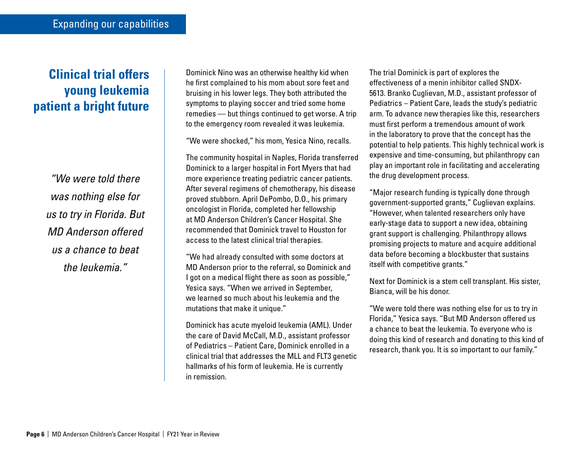# **Clinical trial offers young leukemia patient a bright future**

*"We were told there was nothing else for us to try in Florida. But MD Anderson offered us a chance to beat the leukemia."* 

Dominick Nino was an otherwise healthy kid when he first complained to his mom about sore feet and bruising in his lower legs. They both attributed the symptoms to playing soccer and tried some home remedies — but things continued to get worse. A trip to the emergency room revealed it was leukemia.

"We were shocked," his mom, Yesica Nino, recalls.

The community hospital in Naples, Florida transferred Dominick to a larger hospital in Fort Myers that had more experience treating pediatric cancer patients. After several regimens of chemotherapy, his disease proved stubborn. April DePombo, D.O., his primary oncologist in Florida, completed her fellowship at MD Anderson Children's Cancer Hospital. She recommended that Dominick travel to Houston for access to the latest clinical trial therapies.

"We had already consulted with some doctors at MD Anderson prior to the referral, so Dominick and I got on a medical flight there as soon as possible," Yesica says. "When we arrived in September, we learned so much about his leukemia and the mutations that make it unique."

Dominick has acute myeloid leukemia (AML). Under the care of David McCall, M.D., assistant professor of Pediatrics – Patient Care, Dominick enrolled in a clinical trial that addresses the MLL and FLT3 genetic hallmarks of his form of leukemia. He is currently in remission.

The trial Dominick is part of explores the effectiveness of a menin inhibitor called SNDX-5613. Branko Cuglievan, M.D., assistant professor of Pediatrics – Patient Care, leads the study's pediatric arm. To advance new therapies like this, researchers must first perform a tremendous amount of work in the laboratory to prove that the concept has the potential to help patients. This highly technical work is expensive and time-consuming, but philanthropy can play an important role in facilitating and accelerating the drug development process.

"Major research funding is typically done through government-supported grants," Cuglievan explains. "However, when talented researchers only have early-stage data to support a new idea, obtaining grant support is challenging. Philanthropy allows promising projects to mature and acquire additional data before becoming a blockbuster that sustains itself with competitive grants."

Next for Dominick is a stem cell transplant. His sister, Bianca, will be his donor.

"We were told there was nothing else for us to try in Florida," Yesica says. "But MD Anderson offered us a chance to beat the leukemia. To everyone who is doing this kind of research and donating to this kind of research, thank you. It is so important to our family."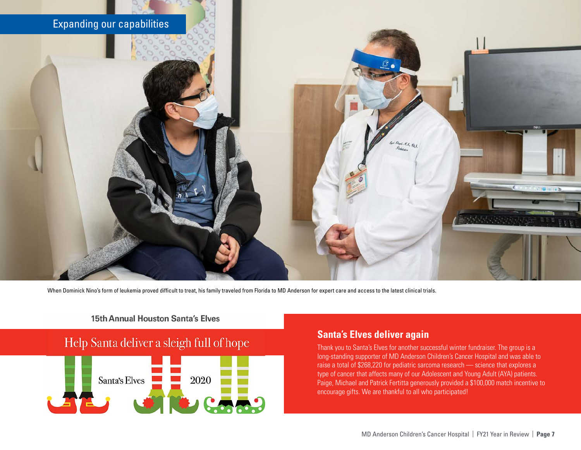

When Dominick Nino's form of leukemia proved difficult to treat, his family traveled from Florida to MD Anderson for expert care and access to the latest clinical trials.

#### **15th Annual Houston Santa's Elves**

### Help Santa deliver a sleigh full of hope



#### **Santa's Elves deliver again**

Thank you to Santa's Elves for another successful winter fundraiser. The group is a long-standing supporter of MD Anderson Children's Cancer Hospital and was able to raise a total of \$268,220 for pediatric sarcoma research — science that explores a type of cancer that affects many of our Adolescent and Young Adult (AYA) patients. Paige, Michael and Patrick Fertitta generously provided a \$100,000 match incentive to encourage gifts. We are thankful to all who participated!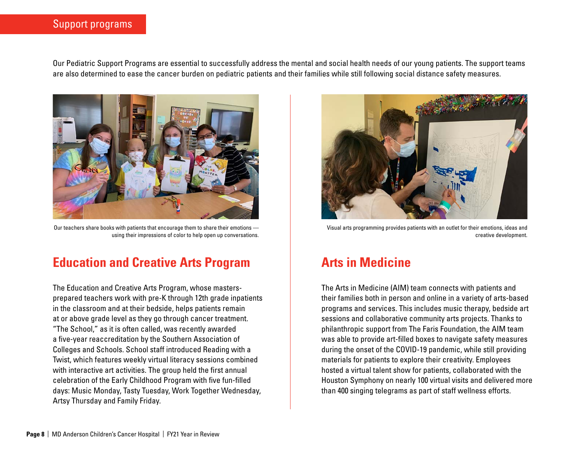#### Support programs

Our Pediatric Support Programs are essential to successfully address the mental and social health needs of our young patients. The support teams are also determined to ease the cancer burden on pediatric patients and their families while still following social distance safety measures.



Our teachers share books with patients that encourage them to share their emotions using their impressions of color to help open up conversations.

### **Education and Creative Arts Program**

The Education and Creative Arts Program, whose mastersprepared teachers work with pre-K through 12th grade inpatients in the classroom and at their bedside, helps patients remain at or above grade level as they go through cancer treatment. "The School," as it is often called, was recently awarded a five-year reaccreditation by the Southern Association of Colleges and Schools. School staff introduced Reading with a Twist, which features weekly virtual literacy sessions combined with interactive art activities. The group held the first annual celebration of the Early Childhood Program with five fun-filled days: Music Monday, Tasty Tuesday, Work Together Wednesday, Artsy Thursday and Family Friday.



Visual arts programming provides patients with an outlet for their emotions, ideas and creative development.

### **Arts in Medicine**

The Arts in Medicine (AIM) team connects with patients and their families both in person and online in a variety of arts-based programs and services. This includes music therapy, bedside art sessions and collaborative community arts projects. Thanks to philanthropic support from The Faris Foundation, the AIM team was able to provide art-filled boxes to navigate safety measures during the onset of the COVID-19 pandemic, while still providing materials for patients to explore their creativity. Employees hosted a virtual talent show for patients, collaborated with the Houston Symphony on nearly 100 virtual visits and delivered more than 400 singing telegrams as part of staff wellness efforts.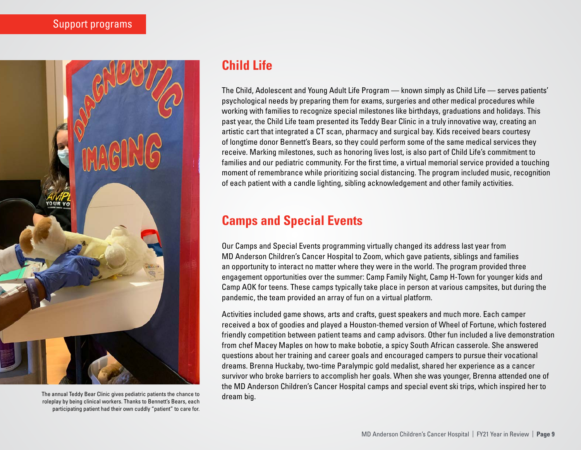

The annual Teddy Bear Clinic gives pediatric patients the chance to roleplay by being clinical workers. Thanks to Bennett's Bears, each participating patient had their own cuddly "patient" to care for.

## **Child Life**

The Child, Adolescent and Young Adult Life Program — known simply as Child Life — serves patients' psychological needs by preparing them for exams, surgeries and other medical procedures while working with families to recognize special milestones like birthdays, graduations and holidays. This past year, the Child Life team presented its Teddy Bear Clinic in a truly innovative way, creating an artistic cart that integrated a CT scan, pharmacy and surgical bay. Kids received bears courtesy of longtime donor Bennett's Bears, so they could perform some of the same medical services they receive. Marking milestones, such as honoring lives lost, is also part of Child Life's commitment to families and our pediatric community. For the first time, a virtual memorial service provided a touching moment of remembrance while prioritizing social distancing. The program included music, recognition of each patient with a candle lighting, sibling acknowledgement and other family activities.

# **Camps and Special Events**

Our Camps and Special Events programming virtually changed its address last year from MD Anderson Children's Cancer Hospital to Zoom, which gave patients, siblings and families an opportunity to interact no matter where they were in the world. The program provided three engagement opportunities over the summer: Camp Family Night, Camp H-Town for younger kids and Camp AOK for teens. These camps typically take place in person at various campsites, but during the pandemic, the team provided an array of fun on a virtual platform.

Activities included game shows, arts and crafts, guest speakers and much more. Each camper received a box of goodies and played a Houston-themed version of Wheel of Fortune, which fostered friendly competition between patient teams and camp advisors. Other fun included a live demonstration from chef Macey Maples on how to make bobotie, a spicy South African casserole. She answered questions about her training and career goals and encouraged campers to pursue their vocational dreams. Brenna Huckaby, two-time Paralympic gold medalist, shared her experience as a cancer survivor who broke barriers to accomplish her goals. When she was younger, Brenna attended one of the MD Anderson Children's Cancer Hospital camps and special event ski trips, which inspired her to dream big.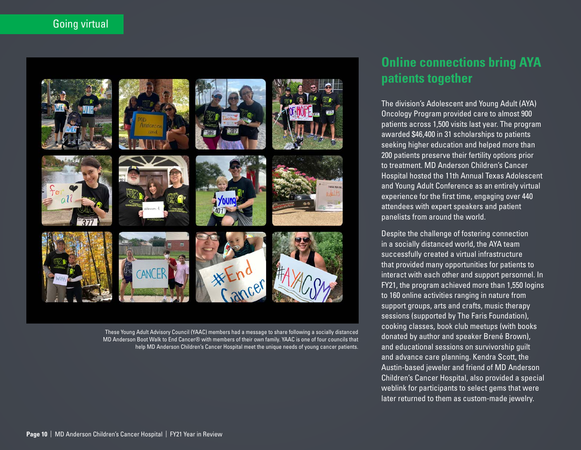### Going virtual













These Young Adult Advisory Council (YAAC) members had a message to share following a socially distanced MD Anderson Boot Walk to End Cancer® with members of their own family. YAAC is one of four councils that help MD Anderson Children's Cancer Hospital meet the unique needs of young cancer patients.

## **Online connections bring AYA patients together**

The division's Adolescent and Young Adult (AYA) Oncology Program provided care to almost 900 patients across 1,500 visits last year. The program awarded \$46,400 in 31 scholarships to patients seeking higher education and helped more than 200 patients preserve their fertility options prior to treatment. MD Anderson Children's Cancer Hospital hosted the 11th Annual Texas Adolescent and Young Adult Conference as an entirely virtual experience for the first time, engaging over 440 attendees with expert speakers and patient panelists from around the world.

Despite the challenge of fostering connection in a socially distanced world, the AYA team successfully created a virtual infrastructure that provided many opportunities for patients to interact with each other and support personnel. In FY21, the program achieved more than 1,550 logins to 160 online activities ranging in nature from support groups, arts and crafts, music therapy sessions (supported by The Faris Foundation), cooking classes, book club meetups (with books donated by author and speaker Brené Brown), and educational sessions on survivorship guilt and advance care planning. Kendra Scott, the Austin-based jeweler and friend of MD Anderson Children's Cancer Hospital, also provided a special weblink for participants to select gems that were later returned to them as custom-made jewelry.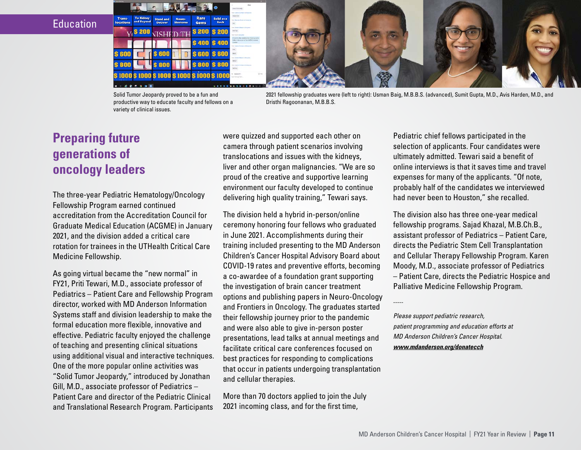**Education** 



Solid Tumor Jeopardy proved to be a fun and productive way to educate faculty and fellows on a variety of clinical issues.

2021 fellowship graduates were (left to right): Usman Baig, M.B.B.S. (advanced), Sumit Gupta, M.D., Avis Harden, M.D., and Dristhi Ragoonanan, M.B.B.S.

## **Preparing future generations of oncology leaders**

The three-year Pediatric Hematology/Oncology Fellowship Program earned continued accreditation from the Accreditation Council for Graduate Medical Education (ACGME) in January 2021, and the division added a critical care rotation for trainees in the UTHealth Critical Care Medicine Fellowship.

As going virtual became the "new normal" in FY21, Priti Tewari, M.D., associate professor of Pediatrics – Patient Care and Fellowship Program director, worked with MD Anderson Information Systems staff and division leadership to make the formal education more flexible, innovative and effective. Pediatric faculty enjoyed the challenge of teaching and presenting clinical situations using additional visual and interactive techniques. One of the more popular online activities was "Solid Tumor Jeopardy," introduced by Jonathan Gill, M.D., associate professor of Pediatrics – Patient Care and director of the Pediatric Clinical and Translational Research Program. Participants

were quizzed and supported each other on camera through patient scenarios involving translocations and issues with the kidneys, liver and other organ malignancies. "We are so proud of the creative and supportive learning environment our faculty developed to continue delivering high quality training," Tewari says.

The division held a hybrid in-person/online ceremony honoring four fellows who graduated in June 2021. Accomplishments during their training included presenting to the MD Anderson Children's Cancer Hospital Advisory Board about COVID-19 rates and preventive efforts, becoming a co-awardee of a foundation grant supporting the investigation of brain cancer treatment options and publishing papers in Neuro-Oncology and Frontiers in Oncology. The graduates started their fellowship journey prior to the pandemic and were also able to give in-person poster presentations, lead talks at annual meetings and facilitate critical care conferences focused on best practices for responding to complications that occur in patients undergoing transplantation and cellular therapies.

More than 70 doctors applied to join the July 2021 incoming class, and for the first time,

Pediatric chief fellows participated in the selection of applicants. Four candidates were ultimately admitted. Tewari said a benefit of online interviews is that it saves time and travel expenses for many of the applicants. "Of note, probably half of the candidates we interviewed had never been to Houston," she recalled.

The division also has three one-year medical fellowship programs. Sajad Khazal, M.B.Ch.B., assistant professor of Pediatrics – Patient Care, directs the Pediatric Stem Cell Transplantation and Cellular Therapy Fellowship Program. Karen Moody, M.D., associate professor of Pediatrics – Patient Care, directs the Pediatric Hospice and Palliative Medicine Fellowship Program.

-----

*Please support pediatric research, patient programming and education efforts at MD Anderson Children's Cancer Hospital. www.mdanderson.org/donatecch*